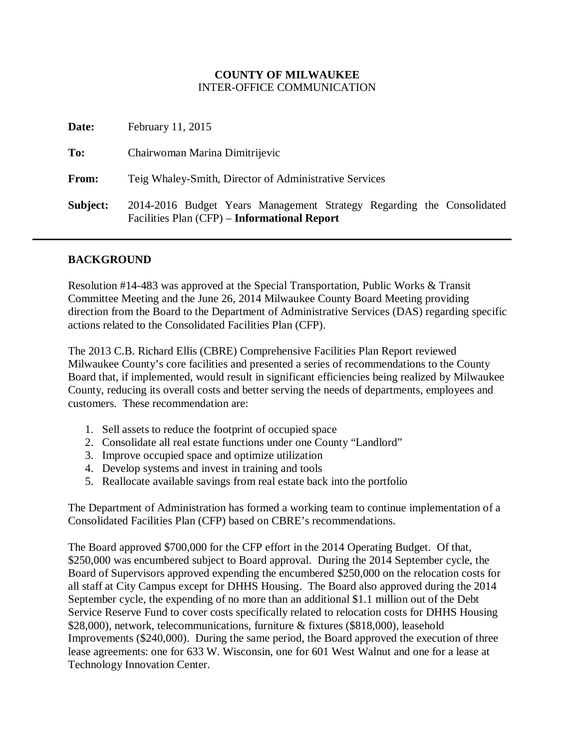#### **COUNTY OF MILWAUKEE** INTER-OFFICE COMMUNICATION

| Date:    | February 11, 2015                                                                                                     |
|----------|-----------------------------------------------------------------------------------------------------------------------|
| To:      | Chairwoman Marina Dimitrijevic                                                                                        |
| From:    | Teig Whaley-Smith, Director of Administrative Services                                                                |
| Subject: | 2014-2016 Budget Years Management Strategy Regarding the Consolidated<br>Facilities Plan (CFP) – Informational Report |

#### **BACKGROUND**

Resolution #14-483 was approved at the Special Transportation, Public Works & Transit Committee Meeting and the June 26, 2014 Milwaukee County Board Meeting providing direction from the Board to the Department of Administrative Services (DAS) regarding specific actions related to the Consolidated Facilities Plan (CFP).

The 2013 C.B. Richard Ellis (CBRE) Comprehensive Facilities Plan Report reviewed Milwaukee County's core facilities and presented a series of recommendations to the County Board that, if implemented, would result in significant efficiencies being realized by Milwaukee County, reducing its overall costs and better serving the needs of departments, employees and customers. These recommendation are:

- 1. Sell assets to reduce the footprint of occupied space
- 2. Consolidate all real estate functions under one County "Landlord"
- 3. Improve occupied space and optimize utilization
- 4. Develop systems and invest in training and tools
- 5. Reallocate available savings from real estate back into the portfolio

The Department of Administration has formed a working team to continue implementation of a Consolidated Facilities Plan (CFP) based on CBRE's recommendations.

The Board approved \$700,000 for the CFP effort in the 2014 Operating Budget. Of that, \$250,000 was encumbered subject to Board approval. During the 2014 September cycle, the Board of Supervisors approved expending the encumbered \$250,000 on the relocation costs for all staff at City Campus except for DHHS Housing. The Board also approved during the 2014 September cycle, the expending of no more than an additional \$1.1 million out of the Debt Service Reserve Fund to cover costs specifically related to relocation costs for DHHS Housing \$28,000), network, telecommunications, furniture & fixtures (\$818,000), leasehold Improvements (\$240,000). During the same period, the Board approved the execution of three lease agreements: one for 633 W. Wisconsin, one for 601 West Walnut and one for a lease at Technology Innovation Center.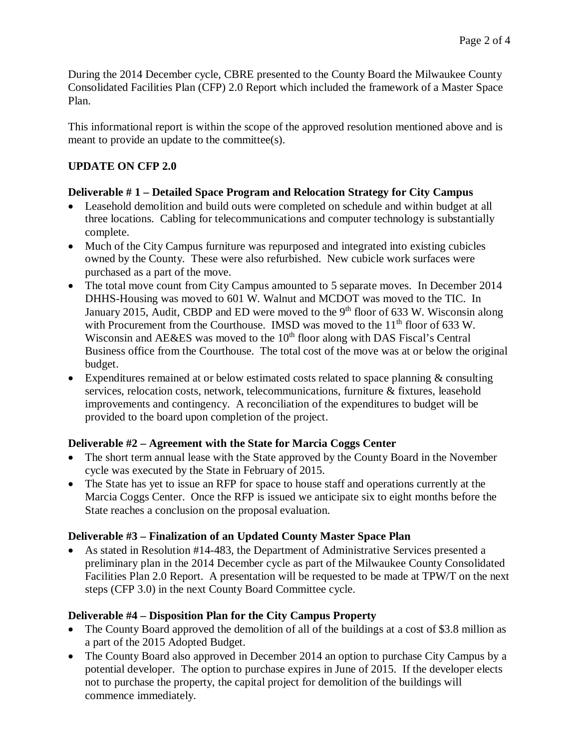During the 2014 December cycle, CBRE presented to the County Board the Milwaukee County Consolidated Facilities Plan (CFP) 2.0 Report which included the framework of a Master Space Plan.

This informational report is within the scope of the approved resolution mentioned above and is meant to provide an update to the committee(s).

# **UPDATE ON CFP 2.0**

## **Deliverable # 1 – Detailed Space Program and Relocation Strategy for City Campus**

- Leasehold demolition and build outs were completed on schedule and within budget at all three locations. Cabling for telecommunications and computer technology is substantially complete.
- Much of the City Campus furniture was repurposed and integrated into existing cubicles owned by the County. These were also refurbished. New cubicle work surfaces were purchased as a part of the move.
- The total move count from City Campus amounted to 5 separate moves. In December 2014 DHHS-Housing was moved to 601 W. Walnut and MCDOT was moved to the TIC. In January 2015, Audit, CBDP and ED were moved to the  $9<sup>th</sup>$  floor of 633 W. Wisconsin along with Procurement from the Courthouse. IMSD was moved to the  $11<sup>th</sup>$  floor of 633 W. Wisconsin and  $AE&ES$  was moved to the  $10<sup>th</sup>$  floor along with DAS Fiscal's Central Business office from the Courthouse. The total cost of the move was at or below the original budget.
- Expenditures remained at or below estimated costs related to space planning & consulting services, relocation costs, network, telecommunications, furniture & fixtures, leasehold improvements and contingency. A reconciliation of the expenditures to budget will be provided to the board upon completion of the project.

## **Deliverable #2 – Agreement with the State for Marcia Coggs Center**

- The short term annual lease with the State approved by the County Board in the November cycle was executed by the State in February of 2015.
- The State has yet to issue an RFP for space to house staff and operations currently at the Marcia Coggs Center. Once the RFP is issued we anticipate six to eight months before the State reaches a conclusion on the proposal evaluation.

## **Deliverable #3 – Finalization of an Updated County Master Space Plan**

• As stated in Resolution #14-483, the Department of Administrative Services presented a preliminary plan in the 2014 December cycle as part of the Milwaukee County Consolidated Facilities Plan 2.0 Report. A presentation will be requested to be made at TPW/T on the next steps (CFP 3.0) in the next County Board Committee cycle.

## **Deliverable #4 – Disposition Plan for the City Campus Property**

- The County Board approved the demolition of all of the buildings at a cost of \$3.8 million as a part of the 2015 Adopted Budget.
- The County Board also approved in December 2014 an option to purchase City Campus by a potential developer. The option to purchase expires in June of 2015. If the developer elects not to purchase the property, the capital project for demolition of the buildings will commence immediately.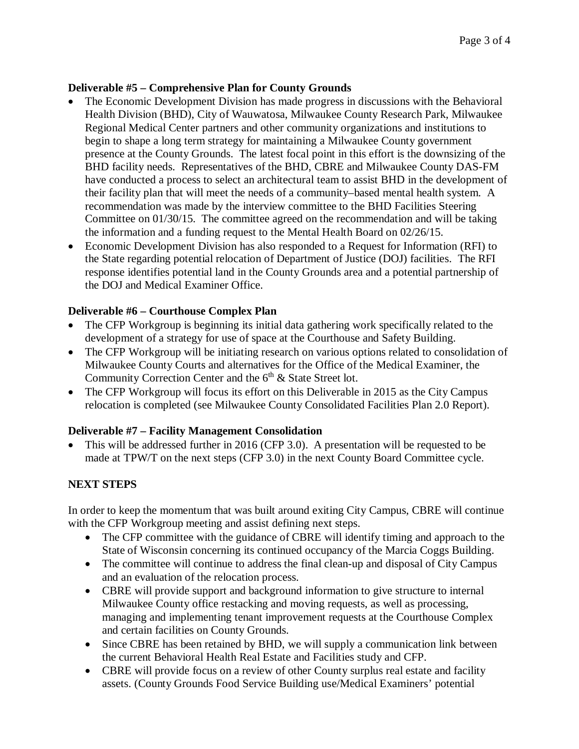#### **Deliverable #5 – Comprehensive Plan for County Grounds**

- The Economic Development Division has made progress in discussions with the Behavioral Health Division (BHD), City of Wauwatosa, Milwaukee County Research Park, Milwaukee Regional Medical Center partners and other community organizations and institutions to begin to shape a long term strategy for maintaining a Milwaukee County government presence at the County Grounds. The latest focal point in this effort is the downsizing of the BHD facility needs. Representatives of the BHD, CBRE and Milwaukee County DAS-FM have conducted a process to select an architectural team to assist BHD in the development of their facility plan that will meet the needs of a community–based mental health system. A recommendation was made by the interview committee to the BHD Facilities Steering Committee on 01/30/15. The committee agreed on the recommendation and will be taking the information and a funding request to the Mental Health Board on 02/26/15.
- Economic Development Division has also responded to a Request for Information (RFI) to the State regarding potential relocation of Department of Justice (DOJ) facilities. The RFI response identifies potential land in the County Grounds area and a potential partnership of the DOJ and Medical Examiner Office.

#### **Deliverable #6 – Courthouse Complex Plan**

- The CFP Workgroup is beginning its initial data gathering work specifically related to the development of a strategy for use of space at the Courthouse and Safety Building.
- The CFP Workgroup will be initiating research on various options related to consolidation of Milwaukee County Courts and alternatives for the Office of the Medical Examiner, the Community Correction Center and the  $6<sup>th</sup>$  & State Street lot.
- The CFP Workgroup will focus its effort on this Deliverable in 2015 as the City Campus relocation is completed (see Milwaukee County Consolidated Facilities Plan 2.0 Report).

## **Deliverable #7 – Facility Management Consolidation**

• This will be addressed further in 2016 (CFP 3.0). A presentation will be requested to be made at TPW/T on the next steps (CFP 3.0) in the next County Board Committee cycle.

## **NEXT STEPS**

In order to keep the momentum that was built around exiting City Campus, CBRE will continue with the CFP Workgroup meeting and assist defining next steps.

- The CFP committee with the guidance of CBRE will identify timing and approach to the State of Wisconsin concerning its continued occupancy of the Marcia Coggs Building.
- The committee will continue to address the final clean-up and disposal of City Campus and an evaluation of the relocation process.
- CBRE will provide support and background information to give structure to internal Milwaukee County office restacking and moving requests, as well as processing, managing and implementing tenant improvement requests at the Courthouse Complex and certain facilities on County Grounds.
- Since CBRE has been retained by BHD, we will supply a communication link between the current Behavioral Health Real Estate and Facilities study and CFP.
- CBRE will provide focus on a review of other County surplus real estate and facility assets. (County Grounds Food Service Building use/Medical Examiners' potential